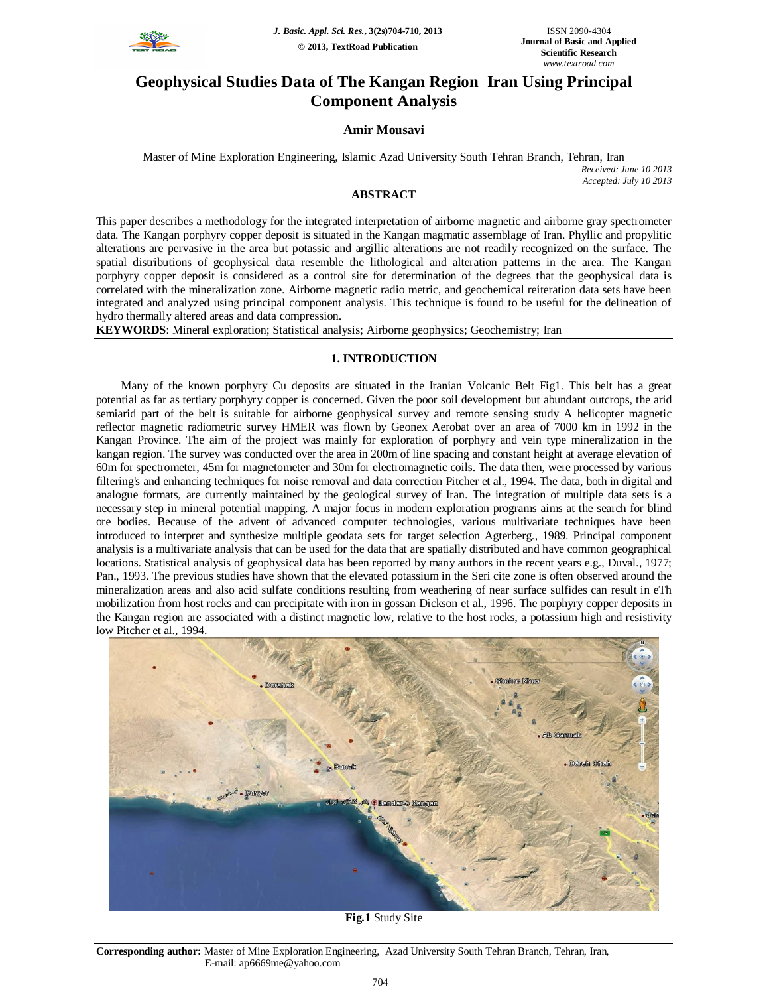

# **Geophysical Studies Data of The Kangan Region Iran Using Principal Component Analysis**

# **Amir Mousavi**

Master of Mine Exploration Engineering, Islamic Azad University South Tehran Branch, Tehran, Iran

*Received: June 10 2013 Accepted: July 10 2013*

## **ABSTRACT**

This paper describes a methodology for the integrated interpretation of airborne magnetic and airborne gray spectrometer data. The Kangan porphyry copper deposit is situated in the Kangan magmatic assemblage of Iran. Phyllic and propylitic alterations are pervasive in the area but potassic and argillic alterations are not readily recognized on the surface. The spatial distributions of geophysical data resemble the lithological and alteration patterns in the area. The Kangan porphyry copper deposit is considered as a control site for determination of the degrees that the geophysical data is correlated with the mineralization zone. Airborne magnetic radio metric, and geochemical reiteration data sets have been integrated and analyzed using principal component analysis. This technique is found to be useful for the delineation of hydro thermally altered areas and data compression.

**KEYWORDS**: Mineral exploration; Statistical analysis; Airborne geophysics; Geochemistry; Iran

# **1. INTRODUCTION**

Many of the known porphyry Cu deposits are situated in the Iranian Volcanic Belt Fig1. This belt has a great potential as far as tertiary porphyry copper is concerned. Given the poor soil development but abundant outcrops, the arid semiarid part of the belt is suitable for airborne geophysical survey and remote sensing study A helicopter magnetic reflector magnetic radiometric survey HMER was flown by Geonex Aerobat over an area of 7000 km in 1992 in the Kangan Province. The aim of the project was mainly for exploration of porphyry and vein type mineralization in the kangan region. The survey was conducted over the area in 200m of line spacing and constant height at average elevation of 60m for spectrometer, 45m for magnetometer and 30m for electromagnetic coils. The data then, were processed by various filtering's and enhancing techniques for noise removal and data correction Pitcher et al., 1994. The data, both in digital and analogue formats, are currently maintained by the geological survey of Iran. The integration of multiple data sets is a necessary step in mineral potential mapping. A major focus in modern exploration programs aims at the search for blind ore bodies. Because of the advent of advanced computer technologies, various multivariate techniques have been introduced to interpret and synthesize multiple geodata sets for target selection Agterberg., 1989. Principal component analysis is a multivariate analysis that can be used for the data that are spatially distributed and have common geographical locations. Statistical analysis of geophysical data has been reported by many authors in the recent years e.g., Duval., 1977; Pan., 1993. The previous studies have shown that the elevated potassium in the Seri cite zone is often observed around the mineralization areas and also acid sulfate conditions resulting from weathering of near surface sulfides can result in eTh mobilization from host rocks and can precipitate with iron in gossan Dickson et al., 1996. The porphyry copper deposits in the Kangan region are associated with a distinct magnetic low, relative to the host rocks, a potassium high and resistivity low Pitcher et al., 1994.



**Fig.1** Study Site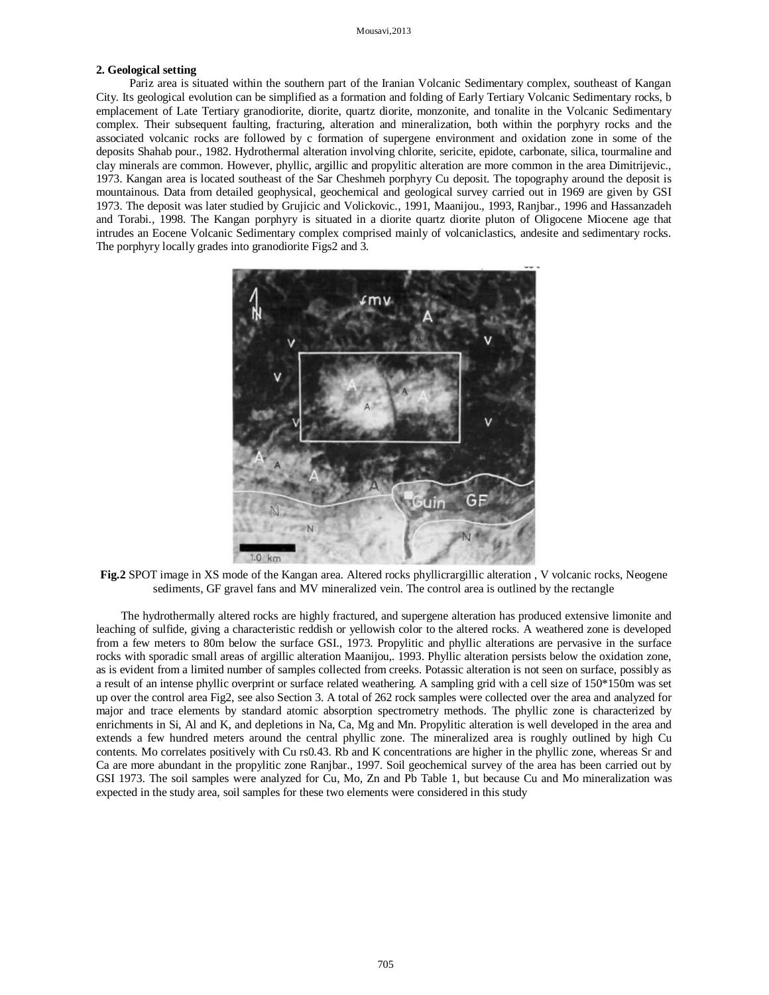## **2. Geological setting**

Pariz area is situated within the southern part of the Iranian Volcanic Sedimentary complex, southeast of Kangan City. Its geological evolution can be simplified as a formation and folding of Early Tertiary Volcanic Sedimentary rocks, b emplacement of Late Tertiary granodiorite, diorite, quartz diorite, monzonite, and tonalite in the Volcanic Sedimentary complex. Their subsequent faulting, fracturing, alteration and mineralization, both within the porphyry rocks and the associated volcanic rocks are followed by c formation of supergene environment and oxidation zone in some of the deposits Shahab pour., 1982. Hydrothermal alteration involving chlorite, sericite, epidote, carbonate, silica, tourmaline and clay minerals are common. However, phyllic, argillic and propylitic alteration are more common in the area Dimitrijevic., 1973. Kangan area is located southeast of the Sar Cheshmeh porphyry Cu deposit. The topography around the deposit is mountainous. Data from detailed geophysical, geochemical and geological survey carried out in 1969 are given by GSI 1973. The deposit was later studied by Grujicic and Volickovic., 1991, Maanijou., 1993, Ranjbar., 1996 and Hassanzadeh and Torabi., 1998. The Kangan porphyry is situated in a diorite quartz diorite pluton of Oligocene Miocene age that intrudes an Eocene Volcanic Sedimentary complex comprised mainly of volcaniclastics, andesite and sedimentary rocks. The porphyry locally grades into granodiorite Figs2 and 3.



**Fig.2** SPOT image in XS mode of the Kangan area. Altered rocks phyllicrargillic alteration , V volcanic rocks, Neogene sediments, GF gravel fans and MV mineralized vein. The control area is outlined by the rectangle

The hydrothermally altered rocks are highly fractured, and supergene alteration has produced extensive limonite and leaching of sulfide, giving a characteristic reddish or yellowish color to the altered rocks. A weathered zone is developed from a few meters to 80m below the surface GSI., 1973. Propylitic and phyllic alterations are pervasive in the surface rocks with sporadic small areas of argillic alteration Maanijou,. 1993. Phyllic alteration persists below the oxidation zone, as is evident from a limited number of samples collected from creeks. Potassic alteration is not seen on surface, possibly as a result of an intense phyllic overprint or surface related weathering. A sampling grid with a cell size of 150\*150m was set up over the control area Fig2, see also Section 3. A total of 262 rock samples were collected over the area and analyzed for major and trace elements by standard atomic absorption spectrometry methods. The phyllic zone is characterized by enrichments in Si, Al and K, and depletions in Na, Ca, Mg and Mn. Propylitic alteration is well developed in the area and extends a few hundred meters around the central phyllic zone. The mineralized area is roughly outlined by high Cu contents. Mo correlates positively with Cu rs0.43. Rb and K concentrations are higher in the phyllic zone, whereas Sr and Ca are more abundant in the propylitic zone Ranjbar., 1997. Soil geochemical survey of the area has been carried out by GSI 1973. The soil samples were analyzed for Cu, Mo, Zn and Pb Table 1, but because Cu and Mo mineralization was expected in the study area, soil samples for these two elements were considered in this study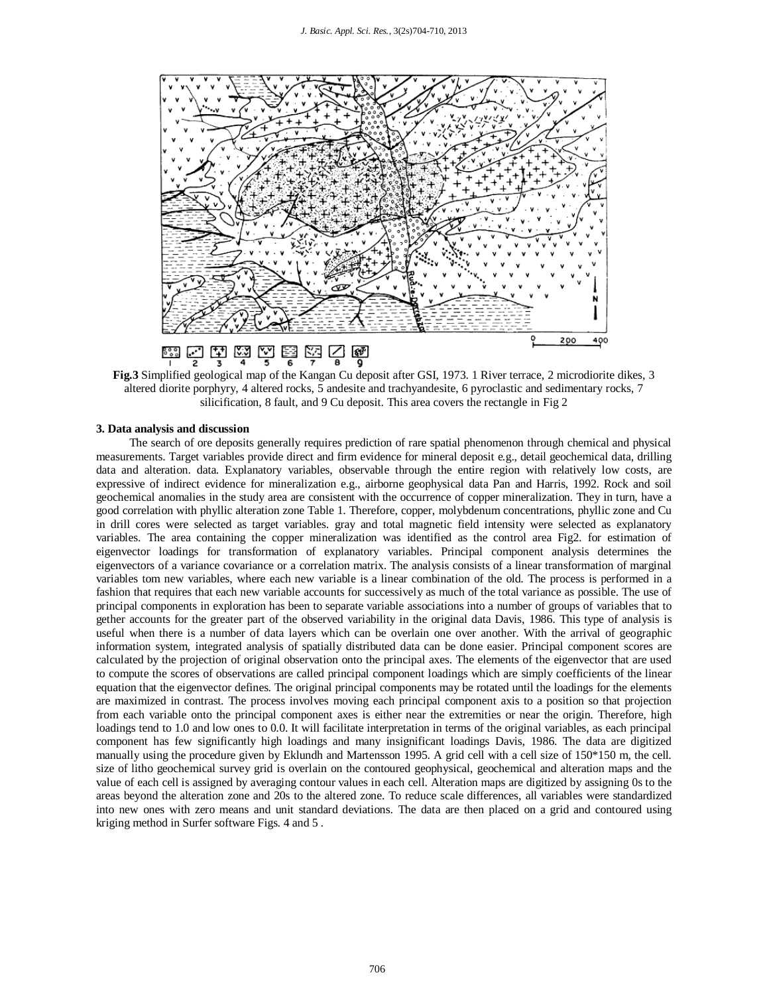

**Fig.3** Simplified geological map of the Kangan Cu deposit after GSI, 1973. 1 River terrace, 2 microdiorite dikes, 3 altered diorite porphyry, 4 altered rocks, 5 andesite and trachyandesite, 6 pyroclastic and sedimentary rocks, 7 silicification, 8 fault, and 9 Cu deposit. This area covers the rectangle in Fig 2

#### **3. Data analysis and discussion**

The search of ore deposits generally requires prediction of rare spatial phenomenon through chemical and physical measurements. Target variables provide direct and firm evidence for mineral deposit e.g., detail geochemical data, drilling data and alteration. data. Explanatory variables, observable through the entire region with relatively low costs, are expressive of indirect evidence for mineralization e.g., airborne geophysical data Pan and Harris, 1992. Rock and soil geochemical anomalies in the study area are consistent with the occurrence of copper mineralization. They in turn, have a good correlation with phyllic alteration zone Table 1. Therefore, copper, molybdenum concentrations, phyllic zone and Cu in drill cores were selected as target variables. gray and total magnetic field intensity were selected as explanatory variables. The area containing the copper mineralization was identified as the control area Fig2. for estimation of eigenvector loadings for transformation of explanatory variables. Principal component analysis determines the eigenvectors of a variance covariance or a correlation matrix. The analysis consists of a linear transformation of marginal variables tom new variables, where each new variable is a linear combination of the old. The process is performed in a fashion that requires that each new variable accounts for successively as much of the total variance as possible. The use of principal components in exploration has been to separate variable associations into a number of groups of variables that to gether accounts for the greater part of the observed variability in the original data Davis, 1986. This type of analysis is useful when there is a number of data layers which can be overlain one over another. With the arrival of geographic information system, integrated analysis of spatially distributed data can be done easier. Principal component scores are calculated by the projection of original observation onto the principal axes. The elements of the eigenvector that are used to compute the scores of observations are called principal component loadings which are simply coefficients of the linear equation that the eigenvector defines. The original principal components may be rotated until the loadings for the elements are maximized in contrast. The process involves moving each principal component axis to a position so that projection from each variable onto the principal component axes is either near the extremities or near the origin. Therefore, high loadings tend to 1.0 and low ones to 0.0. It will facilitate interpretation in terms of the original variables, as each principal component has few significantly high loadings and many insignificant loadings Davis, 1986. The data are digitized manually using the procedure given by Eklundh and Martensson 1995. A grid cell with a cell size of 150\*150 m, the cell. size of litho geochemical survey grid is overlain on the contoured geophysical, geochemical and alteration maps and the value of each cell is assigned by averaging contour values in each cell. Alteration maps are digitized by assigning 0s to the areas beyond the alteration zone and 20s to the altered zone. To reduce scale differences, all variables were standardized into new ones with zero means and unit standard deviations. The data are then placed on a grid and contoured using kriging method in Surfer software Figs. 4 and 5 .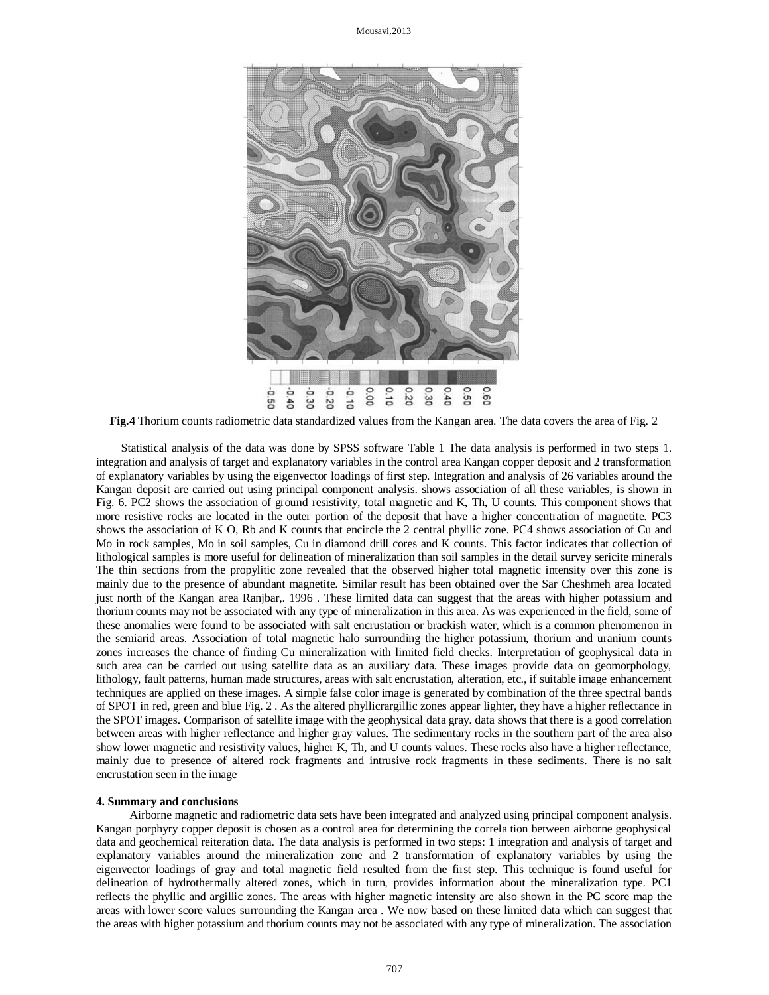Mousavi,2013



**Fig.4** Thorium counts radiometric data standardized values from the Kangan area. The data covers the area of Fig. 2

Statistical analysis of the data was done by SPSS software Table 1 The data analysis is performed in two steps 1. integration and analysis of target and explanatory variables in the control area Kangan copper deposit and 2 transformation of explanatory variables by using the eigenvector loadings of first step. Integration and analysis of 26 variables around the Kangan deposit are carried out using principal component analysis. shows association of all these variables, is shown in Fig. 6. PC2 shows the association of ground resistivity, total magnetic and K, Th, U counts. This component shows that more resistive rocks are located in the outer portion of the deposit that have a higher concentration of magnetite. PC3 shows the association of K O, Rb and K counts that encircle the 2 central phyllic zone. PC4 shows association of Cu and Mo in rock samples, Mo in soil samples, Cu in diamond drill cores and K counts. This factor indicates that collection of lithological samples is more useful for delineation of mineralization than soil samples in the detail survey sericite minerals The thin sections from the propylitic zone revealed that the observed higher total magnetic intensity over this zone is mainly due to the presence of abundant magnetite. Similar result has been obtained over the Sar Cheshmeh area located just north of the Kangan area Ranjbar,. 1996 . These limited data can suggest that the areas with higher potassium and thorium counts may not be associated with any type of mineralization in this area. As was experienced in the field, some of these anomalies were found to be associated with salt encrustation or brackish water, which is a common phenomenon in the semiarid areas. Association of total magnetic halo surrounding the higher potassium, thorium and uranium counts zones increases the chance of finding Cu mineralization with limited field checks. Interpretation of geophysical data in such area can be carried out using satellite data as an auxiliary data. These images provide data on geomorphology, lithology, fault patterns, human made structures, areas with salt encrustation, alteration, etc., if suitable image enhancement techniques are applied on these images. A simple false color image is generated by combination of the three spectral bands of SPOT in red, green and blue Fig. 2 . As the altered phyllicrargillic zones appear lighter, they have a higher reflectance in the SPOT images. Comparison of satellite image with the geophysical data gray. data shows that there is a good correlation between areas with higher reflectance and higher gray values. The sedimentary rocks in the southern part of the area also show lower magnetic and resistivity values, higher K, Th, and U counts values. These rocks also have a higher reflectance, mainly due to presence of altered rock fragments and intrusive rock fragments in these sediments. There is no salt encrustation seen in the image

## **4. Summary and conclusions**

Airborne magnetic and radiometric data sets have been integrated and analyzed using principal component analysis. Kangan porphyry copper deposit is chosen as a control area for determining the correla tion between airborne geophysical data and geochemical reiteration data. The data analysis is performed in two steps: 1 integration and analysis of target and explanatory variables around the mineralization zone and 2 transformation of explanatory variables by using the eigenvector loadings of gray and total magnetic field resulted from the first step. This technique is found useful for delineation of hydrothermally altered zones, which in turn, provides information about the mineralization type. PC1 reflects the phyllic and argillic zones. The areas with higher magnetic intensity are also shown in the PC score map the areas with lower score values surrounding the Kangan area . We now based on these limited data which can suggest that the areas with higher potassium and thorium counts may not be associated with any type of mineralization. The association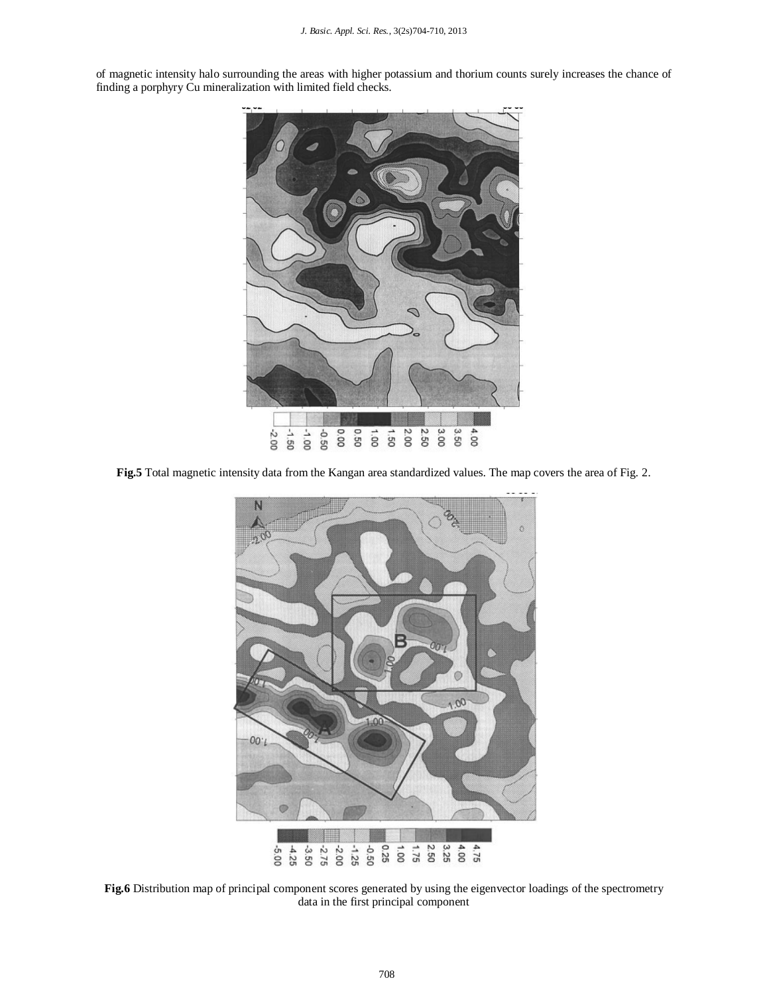of magnetic intensity halo surrounding the areas with higher potassium and thorium counts surely increases the chance of finding a porphyry Cu mineralization with limited field checks.



**Fig.5** Total magnetic intensity data from the Kangan area standardized values. The map covers the area of Fig. 2.



**Fig.6** Distribution map of principal component scores generated by using the eigenvector loadings of the spectrometry data in the first principal component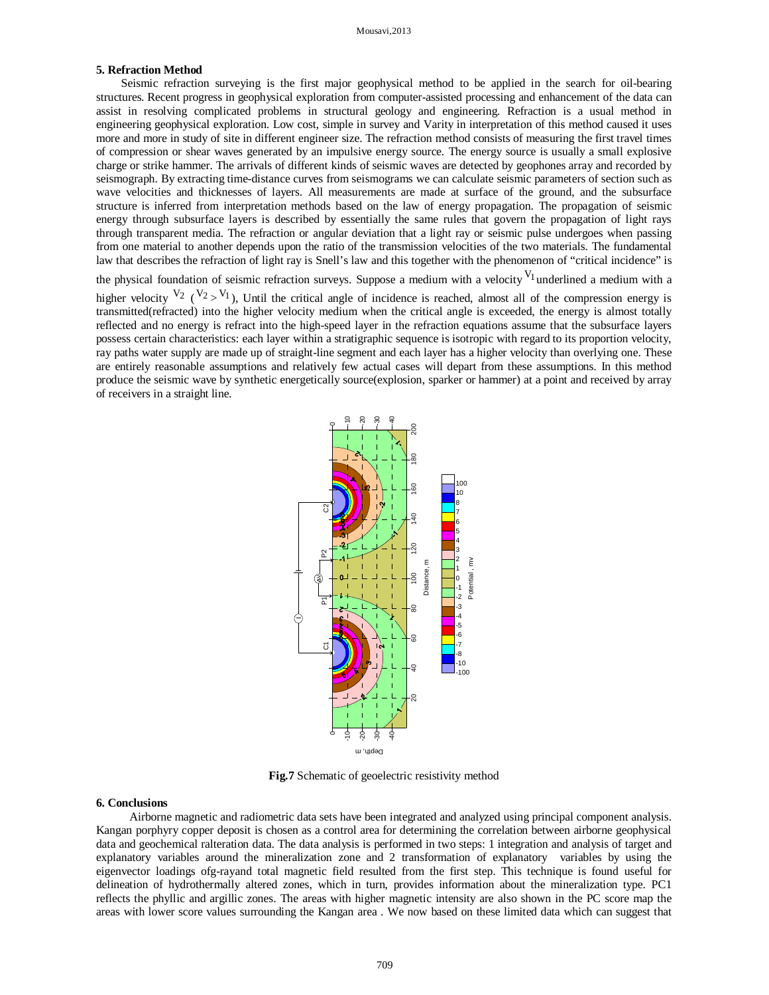## **5. Refraction Method**

Seismic refraction surveying is the first major geophysical method to be applied in the search for oil-bearing structures. Recent progress in geophysical exploration from computer-assisted processing and enhancement of the data can assist in resolving complicated problems in structural geology and engineering. Refraction is a usual method in engineering geophysical exploration. Low cost, simple in survey and Varity in interpretation of this method caused it uses more and more in study of site in different engineer size. The refraction method consists of measuring the first travel times of compression or shear waves generated by an impulsive energy source. The energy source is usually a small explosive charge or strike hammer. The arrivals of different kinds of seismic waves are detected by geophones array and recorded by seismograph. By extracting time-distance curves from seismograms we can calculate seismic parameters of section such as wave velocities and thicknesses of layers. All measurements are made at surface of the ground, and the subsurface structure is inferred from interpretation methods based on the law of energy propagation. The propagation of seismic energy through subsurface layers is described by essentially the same rules that govern the propagation of light rays through transparent media. The refraction or angular deviation that a light ray or seismic pulse undergoes when passing from one material to another depends upon the ratio of the transmission velocities of the two materials. The fundamental law that describes the refraction of light ray is Snell's law and this together with the phenomenon of "critical incidence" is

the physical foundation of seismic refraction surveys. Suppose a medium with a velocity  $V_1$  underlined a medium with a higher velocity  $V_2$  ( $V_2$ ), Until the critical angle of incidence is reached, almost all of the compression energy is transmitted(refracted) into the higher velocity medium when the critical angle is exceeded, the energy is almost totally reflected and no energy is refract into the high-speed layer in the refraction equations assume that the subsurface layers possess certain characteristics: each layer within a stratigraphic sequence is isotropic with regard to its proportion velocity, ray paths water supply are made up of straight-line segment and each layer has a higher velocity than overlying one. These are entirely reasonable assumptions and relatively few actual cases will depart from these assumptions. In this method produce the seismic wave by synthetic energetically source(explosion, sparker or hammer) at a point and received by array of receivers in a straight line.



**Fig.7** Schematic of geoelectric resistivity method

#### **6. Conclusions**

Airborne magnetic and radiometric data sets have been integrated and analyzed using principal component analysis. Kangan porphyry copper deposit is chosen as a control area for determining the correlation between airborne geophysical data and geochemical ralteration data. The data analysis is performed in two steps: 1 integration and analysis of target and explanatory variables around the mineralization zone and 2 transformation of explanatory variables by using the eigenvector loadings ofg-rayand total magnetic field resulted from the first step. This technique is found useful for delineation of hydrothermally altered zones, which in turn, provides information about the mineralization type. PC1 reflects the phyllic and argillic zones. The areas with higher magnetic intensity are also shown in the PC score map the areas with lower score values surrounding the Kangan area . We now based on these limited data which can suggest that